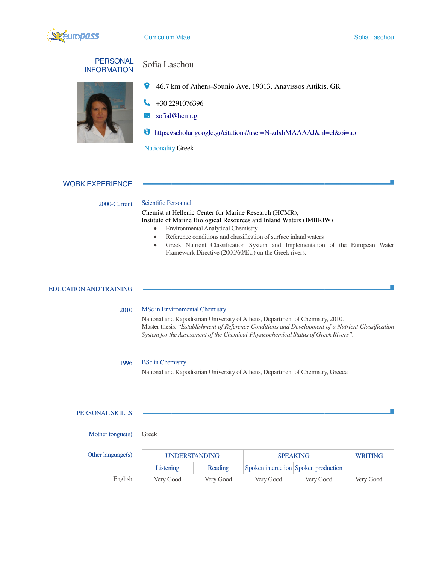

Sofia Laschou

 $\mathcal{C}^{\mathcal{A}}$ 

| <b>PERSONAL</b>    |
|--------------------|
| <b>INFORMATION</b> |



# Sofia Laschou

- 46.7 km of Athens 46.7 Athens-Sounio Ave, 19013, Anavissos Attikis, GR
- +30 2291076396 2291076396
- sofial@hcmr.gr sofial@hcmr.gr
- https://scholar.google.gr/citations?user=N https://scholar.google.gr/citations?user=N-zdxhMAAAAJ&hl=el&oi=ao zdxhMAAAAJ&hl=el&oi=ao

Nationality Greek

# WORK EXPERIENCE

## 2000-Current Scientific Personnel

Chemist at Hellenic Center for Marine Research (HCMR), Institute of Marine Biological Resources and Inland Waters (IMBRIW)

- Environmental Analytical Chemistry
- Reference conditions and classification of surface inland waters
- Greek Nutrient Classification System and Inland Waters (IMBRIW)<br>• Environmental Analytical Chemistry<br>• Reference conditions and classification of surface inland waters<br>• Greek Nutrient Classification System and Implement Framework Directive (2000/60/EU) on the Greek rivers. Institute of Marine Biological Resources and Inland Waters (IMBRIW)<br>
• Environmental Analytical Chemistry<br>
• Reference conditions and classification of surface inland waters<br>
• Greek Nutrient Classification System and Impl

### EDUCATION AND TRAINING

### 2010 MSc in Environmental Chemistry

National and Kapodistrian University of Athens, Department of Chemistry Master thesis: "Establishment of Reference Conditions and Development of a Nutrient Classification Master thesis: "Establishment of Reference Conditions and Development of a Nutrie.<br>System for the Assessment of the Chemical-Physicochemical Status of Greek Rivers". Pramework Directive (2000/60/EU) on the Greek rivers.<br> **Environmental Chemistry**<br>
Il and Kapodistrian University of Athens, Department of Chemistry, 2010.<br> **thesis:** "*Establishment of Reference Conditions and Development* 

### 1996 BSc in Chemistry

National and Kapodistrian University of Athens, Department of Chemistry, Greece

### PERSONAL SKILLS

| Mother tongue $(s)$  | Greek                |           |                 |                                      |                |
|----------------------|----------------------|-----------|-----------------|--------------------------------------|----------------|
| Other language $(s)$ | <b>UNDERSTANDING</b> |           | <b>SPEAKING</b> |                                      | <b>WRITING</b> |
|                      | Listening            | Reading   |                 | Spoken interaction Spoken production |                |
| English              | Very Good            | Very Good | Very Good       | Very Good                            | Very Good      |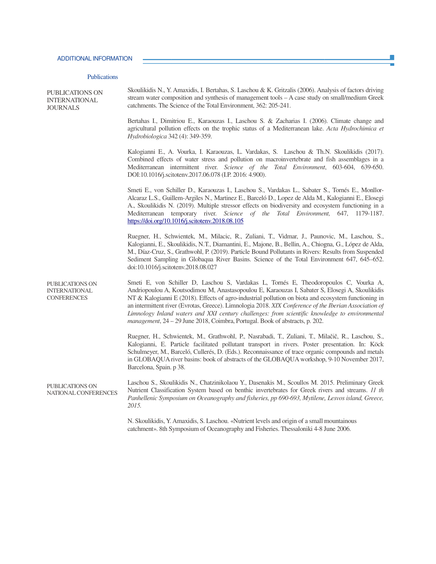### Publications

| <b>PUBLICATIONS ON</b><br><b>INTERNATIONAL</b><br><b>JOURNALS</b> | Skoulikidis N., Y. Amaxidis, I. Bertahas, S. Laschou & K. Gritzalis (2006). Analysis of factors driving<br>stream water composition and synthesis of management tools $-A$ case study on small/medium Greek<br>catchments. The Science of the Total Environment, 362: 205-241.                                                                                                                                                                                                                                                                                                               |
|-------------------------------------------------------------------|----------------------------------------------------------------------------------------------------------------------------------------------------------------------------------------------------------------------------------------------------------------------------------------------------------------------------------------------------------------------------------------------------------------------------------------------------------------------------------------------------------------------------------------------------------------------------------------------|
|                                                                   | Bertahas I., Dimitriou E., Karaouzas I., Laschou S. & Zacharias I. (2006). Climate change and<br>agricultural pollution effects on the trophic status of a Mediterranean lake. Acta Hydrochimica et<br>Hydrobiologica 342 (4): 349-359.                                                                                                                                                                                                                                                                                                                                                      |
|                                                                   | Kalogianni E., A. Vourka, I. Karaouzas, L. Vardakas, S. Laschou & Th.N. Skoulikidis (2017).<br>Combined effects of water stress and pollution on macroinvertebrate and fish assemblages in a<br>Mediterranean intermittent river. Science of the Total Environment, 603-604, 639-650.<br>DOI:10.1016/j.scitotenv.2017.06.078 (I.P. 2016: 4.900).                                                                                                                                                                                                                                             |
|                                                                   | Smeti E., von Schiller D., Karaouzas I., Laschou S., Vardakas L., Sabater S., Tornés E., Monllor-<br>Alcaraz L.S., Guillem-Argiles N., Martinez E., Barceló D., Lopez de Alda M., Kalogianni E., Elosegi<br>A., Skoulikidis N. (2019). Multiple stressor effects on biodiversity and ecosystem functioning in a<br>Mediterranean temporary river. Science of the Total Environment, 647, 1179-1187.<br>https://doi.org/10.1016/j.scitotenv.2018.08.105                                                                                                                                       |
|                                                                   | Ruegner, H., Schwientek, M., Milacic, R., Zuliani, T., Vidmar, J., Paunovic, M., Laschou, S.,<br>Kalogianni, E., Skoulikidis, N.T., Diamantini, E., Majone, B., Bellin, A., Chiogna, G., López de Alda,<br>M., Díaz-Cruz, S., Grathwohl, P. (2019). Particle Bound Pollutants in Rivers: Results from Suspended<br>Sediment Sampling in Globaqua River Basins. Science of the Total Environment 647, 645–652.<br>doi:10.1016/j.scitotenv.2018.08.027                                                                                                                                         |
| PUBLICATIONS ON<br><b>INTERNATIONAL</b><br><b>CONFERENCES</b>     | Smeti E, von Schiller D, Laschou S, Vardakas L, Tornés E, Theodoropoulos C, Vourka A,<br>Andriopoulou A, Koutsodimou M, Anastasopoulou E, Karaouzas I, Sabater S, Elosegi A, Skoulikidis<br>NT & Kalogianni E (2018). Effects of agro-industrial pollution on biota and ecosystem functioning in<br>an intermittent river (Evrotas, Greece). Limnologia 2018. XIX Conference of the Iberian Association of<br>Limnology Inland waters and XXI century challenges: from scientific knowledge to environmental<br>management, 24 - 29 June 2018, Coimbra, Portugal. Book of abstracts, p. 202. |
|                                                                   | Ruegner, H., Schwientek, M., Grathwohl, P., Nasrabadi, T., Zuliani, T., Milačič, R., Laschou, S.,<br>Kalogianni, E. Particle facilitated pollutant transport in rivers. Poster presentation. In: Köck<br>Schulmeyer, M., Barceló, Cullerés, D. (Eds.). Reconnaissance of trace organic compounds and metals<br>in GLOBAQUA river basins: book of abstracts of the GLOBAQUA workshop, 9-10 November 2017,<br>Barcelona, Spain. p 38.                                                                                                                                                          |
| <b>PUBLICATIONS ON</b><br>NATIONAL CONFERENCES                    | Laschou S., Skoulikidis N., Chatzinikolaou Y., Dasenakis M., Scoullos M. 2015. Preliminary Greek<br>Nutrient Classification System based on benthic invertebrates for Greek rivers and streams. 11 th<br>Panhellenic Symposium on Oceanography and fisheries, pp 690-693, Mytilene, Lesvos island, Greece,<br>2015.                                                                                                                                                                                                                                                                          |
|                                                                   | N. Skoulikidis, Y. Amaxidis, S. Laschou. «Nutrient levels and origin of a small mountainous<br>catchment». 8th Symposium of Oceanography and Fisheries. Thessaloniki 4-8 June 2006.                                                                                                                                                                                                                                                                                                                                                                                                          |

 $\mathcal{L}_{\mathcal{A}}$